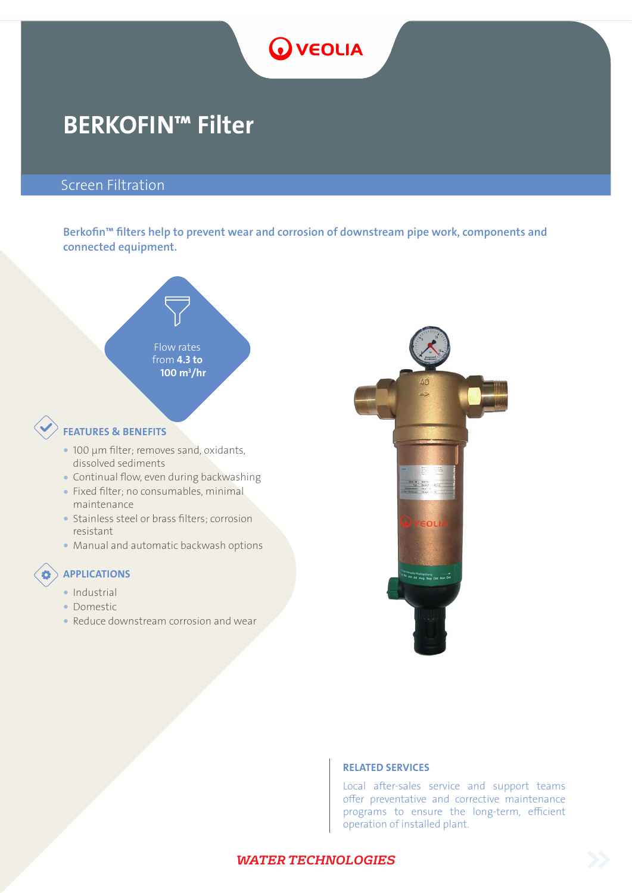# **O** VEOLIA

## BERKOFIN™ Filter

### Screen Filtration

Berkofin™ filters help to prevent wear and corrosion of downstream pipe work, components and connected equipment.



- dissolved sediments
- � Continual flow, even during backwashing
- � Fixed filter; no consumables, minimal maintenance
- � Stainless steel or brass filters; corrosion resistant
- � Manual and automatic backwash options

### APPLICATIONS

- Industrial
- Domestic
- � Reduce downstream corrosion and wear



#### RELATED SERVICES

Local after-sales service and support teams offer preventative and corrective maintenance programs to ensure the long-term, efficient operation of installed plant.

#### *WATER TECHNOLOGIES*